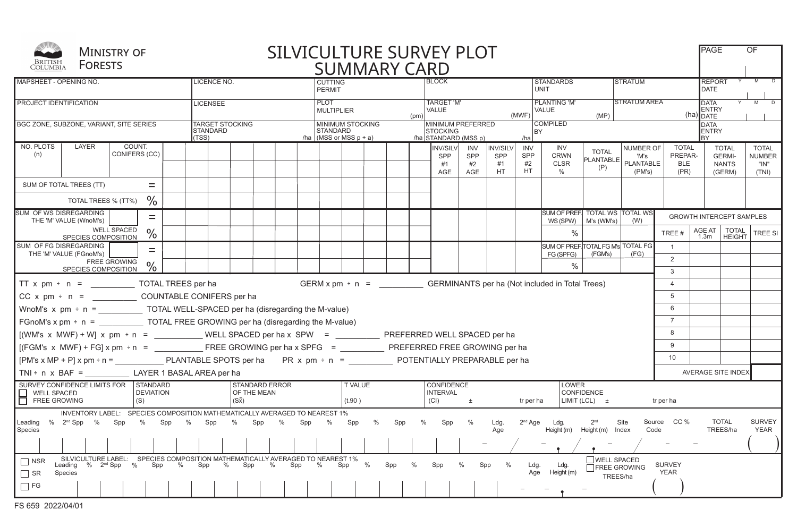| BRITISH<br>COLUMBIA                                                                                                                                                                                                                                                                                                                                                                                         | <b>FORESTS</b>                                                                                                                                    | <b>MINISTRY OF</b>      |               |  | SILVICULTURE SURVEY PLOT<br><b>SUMMARY CARD</b> |                                                    |  |  |  |                                                                                  |     |   |     |   |                                                              |                                                 |                                           | <b>PAGE</b>                          | <b>OF</b>                                          |                                  |                                          |                                                            |                                                         |                                                |
|-------------------------------------------------------------------------------------------------------------------------------------------------------------------------------------------------------------------------------------------------------------------------------------------------------------------------------------------------------------------------------------------------------------|---------------------------------------------------------------------------------------------------------------------------------------------------|-------------------------|---------------|--|-------------------------------------------------|----------------------------------------------------|--|--|--|----------------------------------------------------------------------------------|-----|---|-----|---|--------------------------------------------------------------|-------------------------------------------------|-------------------------------------------|--------------------------------------|----------------------------------------------------|----------------------------------|------------------------------------------|------------------------------------------------------------|---------------------------------------------------------|------------------------------------------------|
| <b>MAPSHEET - OPENING NO.</b>                                                                                                                                                                                                                                                                                                                                                                               |                                                                                                                                                   |                         |               |  |                                                 | LICENCE NO.                                        |  |  |  | CUTTING<br><b>PERMIT</b>                                                         |     |   |     |   |                                                              | <b>STANDARDS</b><br><b>BLOCK</b><br><b>UNIT</b> |                                           |                                      |                                                    |                                  | <b>STRATUM</b>                           |                                                            | <b>REPORT</b><br><b>DATE</b>                            |                                                |
| <b>PROJECT IDENTIFICATION</b>                                                                                                                                                                                                                                                                                                                                                                               |                                                                                                                                                   |                         |               |  |                                                 | <b>LICENSEE</b>                                    |  |  |  | <b>PLOT</b><br><b>MULTIPLIER</b><br>(pm)                                         |     |   |     |   | <b>TARGET 'M'</b><br><b>VALUE</b><br>(MWF)                   |                                                 |                                           |                                      | <b>PLANTING 'M'</b><br><b>VALUE</b><br>(MP)        |                                  |                                          | <b>STRATUM AREA</b><br><b>DATA</b><br>ENTRY<br>$(ha)$ DATE |                                                         | Y M D                                          |
| BGC ZONE, SUBZONE, VARIANT, SITE SERIES                                                                                                                                                                                                                                                                                                                                                                     |                                                                                                                                                   |                         |               |  |                                                 | <b>TARGET STOCKING</b><br><b>STANDARD</b><br>(TSS) |  |  |  | <b>MINIMUM STOCKING</b><br><b>STANDARD</b><br>/ha $ (MSS \text{ or } MSS p + a)$ |     |   |     |   | MINIMUM PREFERRED<br><b>STOCKING</b><br>/ha STANDARD (MSS p) |                                                 | /ha                                       |                                      | <b>COMPILED</b><br><b>BY</b>                       |                                  |                                          | <b>ENTRY</b>                                               |                                                         |                                                |
| NO. PLOTS<br>(n)                                                                                                                                                                                                                                                                                                                                                                                            | LAYER                                                                                                                                             | COUNT.<br>CONIFERS (CC) |               |  |                                                 |                                                    |  |  |  |                                                                                  |     |   |     |   | INV/SILVI<br>SPP<br>#1<br><b>AGE</b>                         | INV<br>SPP<br>#2<br>AGE                         | <b>INV/SILV</b><br>SPP<br>#1<br><b>HT</b> | <b>INV</b><br>SPP<br>#2<br><b>HT</b> | INV<br><b>CRWN</b><br><b>CLSR</b><br>$\frac{0}{0}$ | <b>TOTAL</b><br>PLANTABLE<br>(P) | NUMBER OF<br>'M's<br>PLANTABLE<br>(PM's) | <b>TOTAL</b><br>PREPAR-<br><b>BLE</b><br>(PR)              | <b>TOTAL</b><br><b>GERMI-</b><br><b>NANTS</b><br>(GERM) | <b>TOTAL</b><br><b>NUMBER</b><br>"IN"<br>(TNI) |
|                                                                                                                                                                                                                                                                                                                                                                                                             | SUM OF TOTAL TREES (TT)                                                                                                                           |                         |               |  |                                                 |                                                    |  |  |  |                                                                                  |     |   |     |   |                                                              |                                                 |                                           |                                      |                                                    |                                  |                                          |                                                            |                                                         |                                                |
| $\frac{0}{0}$<br>TOTAL TREES % (TT%)                                                                                                                                                                                                                                                                                                                                                                        |                                                                                                                                                   |                         |               |  |                                                 |                                                    |  |  |  |                                                                                  |     |   |     |   |                                                              |                                                 |                                           |                                      |                                                    |                                  |                                          |                                                            |                                                         |                                                |
| <b>SUM OF WS DISREGARDING</b>                                                                                                                                                                                                                                                                                                                                                                               | THE 'M' VALUE (WnoM's)                                                                                                                            |                         | $=$           |  |                                                 |                                                    |  |  |  |                                                                                  |     |   |     |   |                                                              |                                                 |                                           |                                      | SUM OF PREF. TOTAL WS TOTAL WS                     | $WS(SPW)$   M's (WM's)           | (W)                                      |                                                            | <b>GROWTH INTERCEPT SAMPLES</b>                         |                                                |
|                                                                                                                                                                                                                                                                                                                                                                                                             | SPECIES COMPOSITION                                                                                                                               | <b>WELL SPACED</b>      | $\%$          |  |                                                 |                                                    |  |  |  |                                                                                  |     |   |     |   |                                                              |                                                 |                                           |                                      | $\%$                                               |                                  |                                          | TREE #                                                     | AGE AT<br><b>TOTAL</b><br>1.3m<br><b>HEIGHT</b>         | TREE SI                                        |
| SUM OF FG DISREGARDING                                                                                                                                                                                                                                                                                                                                                                                      | THE 'M' VALUE (FGnoM's)                                                                                                                           |                         | $=$           |  |                                                 |                                                    |  |  |  |                                                                                  |     |   |     |   |                                                              |                                                 |                                           |                                      | SUM OF PREF. TOTAL FG M's TOTAL FG<br>FG (SPFG)    | (FGM's)                          | (FG)                                     | $\overline{1}$                                             |                                                         |                                                |
|                                                                                                                                                                                                                                                                                                                                                                                                             | SPECIES COMPOSITION                                                                                                                               | <b>FREE GROWING</b>     | $\frac{0}{0}$ |  |                                                 |                                                    |  |  |  |                                                                                  |     |   |     |   |                                                              |                                                 |                                           |                                      | $\%$                                               |                                  |                                          | 2<br>3                                                     |                                                         |                                                |
|                                                                                                                                                                                                                                                                                                                                                                                                             | GERM $x$ pm $\div$ n = GERMINANTS per ha (Not included in Total Trees)<br>TT $x$ pm $\div$ n = TOTAL TREES per ha                                 |                         |               |  |                                                 |                                                    |  |  |  |                                                                                  |     |   | 4   |   |                                                              |                                                 |                                           |                                      |                                                    |                                  |                                          |                                                            |                                                         |                                                |
|                                                                                                                                                                                                                                                                                                                                                                                                             |                                                                                                                                                   |                         |               |  |                                                 |                                                    |  |  |  |                                                                                  |     |   |     |   |                                                              |                                                 |                                           |                                      |                                                    |                                  |                                          | 5                                                          |                                                         |                                                |
|                                                                                                                                                                                                                                                                                                                                                                                                             | WnoM's $x$ pm $\div$ n = TOTAL WELL-SPACED per ha (disregarding the M-value)                                                                      |                         |               |  |                                                 |                                                    |  |  |  |                                                                                  |     | 6 |     |   |                                                              |                                                 |                                           |                                      |                                                    |                                  |                                          |                                                            |                                                         |                                                |
| FGnoM's x pm $\div$ n = TOTAL FREE GROWING per ha (disregarding the M-value)                                                                                                                                                                                                                                                                                                                                |                                                                                                                                                   |                         |               |  |                                                 |                                                    |  |  |  |                                                                                  |     |   |     |   |                                                              |                                                 |                                           |                                      |                                                    |                                  |                                          | $\overline{7}$                                             |                                                         |                                                |
| $[(WM's \times MWF) + W] \times pm \div n =$ WELL SPACED per ha x SPW = PREFERRED WELL SPACED per ha                                                                                                                                                                                                                                                                                                        |                                                                                                                                                   |                         |               |  |                                                 |                                                    |  |  |  |                                                                                  |     |   |     |   |                                                              |                                                 |                                           |                                      |                                                    |                                  |                                          | 8                                                          |                                                         |                                                |
|                                                                                                                                                                                                                                                                                                                                                                                                             |                                                                                                                                                   |                         |               |  |                                                 |                                                    |  |  |  |                                                                                  |     |   |     |   |                                                              |                                                 |                                           |                                      |                                                    |                                  |                                          | 9                                                          |                                                         |                                                |
| [PM's x MP + P] x pm ÷ n = PLANTABLE SPOTS per ha PR x pm ÷ n = POTENTIALLY PREPARABLE per ha                                                                                                                                                                                                                                                                                                               |                                                                                                                                                   |                         |               |  |                                                 |                                                    |  |  |  |                                                                                  |     |   |     |   |                                                              |                                                 |                                           |                                      |                                                    |                                  |                                          | 10                                                         |                                                         |                                                |
| $TNI \div n \times BAF =$ LAYER 1 BASAL AREA per ha                                                                                                                                                                                                                                                                                                                                                         |                                                                                                                                                   |                         |               |  |                                                 |                                                    |  |  |  |                                                                                  |     |   |     |   |                                                              |                                                 |                                           |                                      |                                                    |                                  |                                          |                                                            | AVERAGE SITE INDEX                                      |                                                |
| SURVEY CONFIDENCE LIMITS FOR STANDARD<br><b>STANDARD ERROR</b><br><b>T VALUE</b><br><b>CONFIDENCE</b><br>LOWER<br>OF THE MEAN<br>CONFIDENCE<br>$\Box$ WELL SPACED<br><b>DEVIATION</b><br><b>INTERVAL</b><br>FREE GROWING<br>$(S\overline{x})$<br>(CI)<br>(S)<br>LIMIT (LCL) $\pm$<br>(t.90)<br>tr per ha<br>tr per ha<br>土                                                                                  |                                                                                                                                                   |                         |               |  |                                                 |                                                    |  |  |  |                                                                                  |     |   |     |   |                                                              |                                                 |                                           |                                      |                                                    |                                  |                                          |                                                            |                                                         |                                                |
| INVENTORY LABEL: SPECIES COMPOSITION MATHEMATICALLY AVERAGED TO NEAREST 1%<br>%<br>%<br><b>TOTAL</b><br><b>SURVEY</b><br>% $2^{nd}$ Spp %<br>Spp<br>%<br>Spp<br>%<br>Spp<br>%<br>%<br>Spp<br>%<br>Spp<br>Spp<br>$2nd$ Age<br>2 <sup>nd</sup><br>Source CC %<br>Leading<br>Spp<br>Spp<br>$\%$<br>Ldg.<br>Site<br>Ldg.<br>TREES/ha<br><b>YEAR</b><br>Species<br>Code<br>Age<br>Height (m)<br>Height (m) Index |                                                                                                                                                   |                         |               |  |                                                 |                                                    |  |  |  |                                                                                  |     |   |     |   |                                                              |                                                 |                                           |                                      |                                                    |                                  |                                          |                                                            |                                                         |                                                |
|                                                                                                                                                                                                                                                                                                                                                                                                             |                                                                                                                                                   |                         |               |  |                                                 |                                                    |  |  |  |                                                                                  |     |   |     |   |                                                              |                                                 |                                           |                                      |                                                    |                                  |                                          |                                                            |                                                         |                                                |
| ∣ ∣NSR<br>$\vert$ SR<br>$\Box$ FG                                                                                                                                                                                                                                                                                                                                                                           | SILVICULTURE LABEL: SPECIES COMPOSITION MATHEMATICALLY AVERAGED TO NEAREST 1%<br>Leading % 2 <sup>nd</sup> Spp % Spp % Spp % Spp % Spp<br>Species |                         |               |  |                                                 |                                                    |  |  |  | $\%$                                                                             | Spp | % | Spp | % | Spp                                                          | %                                               | Spp<br>$\%$                               | Ldg.                                 | Ldg.<br>Age<br>Height (m)                          | <b>WELL SPACED</b><br>TREES/ha   | <b>FREE GROWING</b>                      | <b>SURVEY</b><br><b>YEAR</b>                               |                                                         |                                                |
|                                                                                                                                                                                                                                                                                                                                                                                                             |                                                                                                                                                   |                         |               |  |                                                 |                                                    |  |  |  |                                                                                  |     |   |     |   |                                                              |                                                 |                                           |                                      |                                                    |                                  |                                          |                                                            |                                                         |                                                |